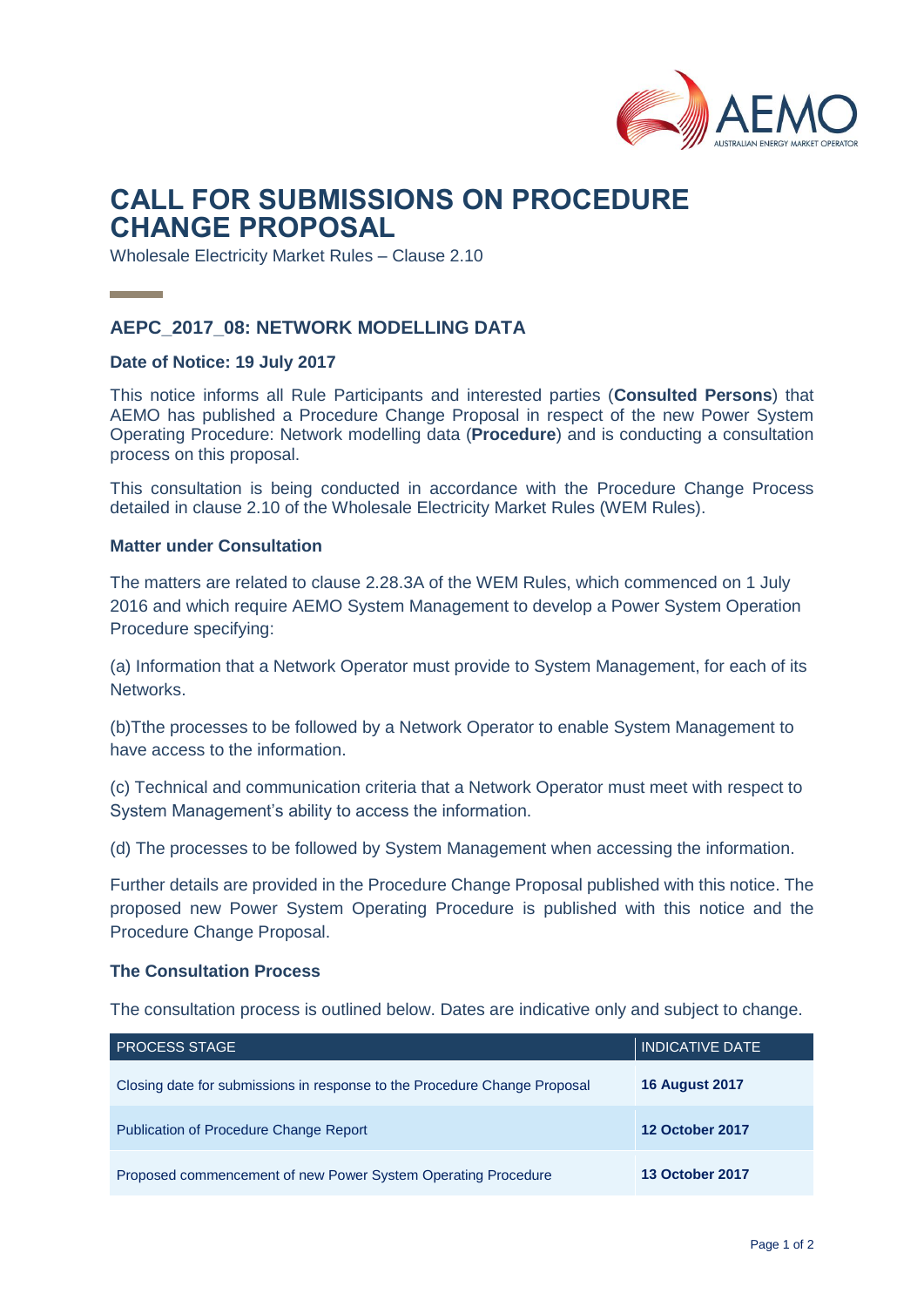

# **CALL FOR SUBMISSIONS ON PROCEDURE CHANGE PROPOSAL**

Wholesale Electricity Market Rules – Clause 2.10

## **AEPC\_2017\_08: NETWORK MODELLING DATA**

#### **Date of Notice: 19 July 2017**

This notice informs all Rule Participants and interested parties (**Consulted Persons**) that AEMO has published a Procedure Change Proposal in respect of the new Power System Operating Procedure: Network modelling data (**Procedure**) and is conducting a consultation process on this proposal.

This consultation is being conducted in accordance with the Procedure Change Process detailed in clause 2.10 of the Wholesale Electricity Market Rules (WEM Rules).

#### **Matter under Consultation**

The matters are related to clause 2.28.3A of the WEM Rules, which commenced on 1 July 2016 and which require AEMO System Management to develop a Power System Operation Procedure specifying:

(a) Information that a Network Operator must provide to System Management, for each of its Networks.

(b)Tthe processes to be followed by a Network Operator to enable System Management to have access to the information.

(c) Technical and communication criteria that a Network Operator must meet with respect to System Management's ability to access the information.

(d) The processes to be followed by System Management when accessing the information.

Further details are provided in the Procedure Change Proposal published with this notice. The proposed new Power System Operating Procedure is published with this notice and the Procedure Change Proposal.

#### **The Consultation Process**

The consultation process is outlined below. Dates are indicative only and subject to change.

| <b>PROCESS STAGE</b>                                                      | <b>INDICATIVE DATE</b> |
|---------------------------------------------------------------------------|------------------------|
| Closing date for submissions in response to the Procedure Change Proposal | <b>16 August 2017</b>  |
| <b>Publication of Procedure Change Report</b>                             | <b>12 October 2017</b> |
| Proposed commencement of new Power System Operating Procedure             | <b>13 October 2017</b> |